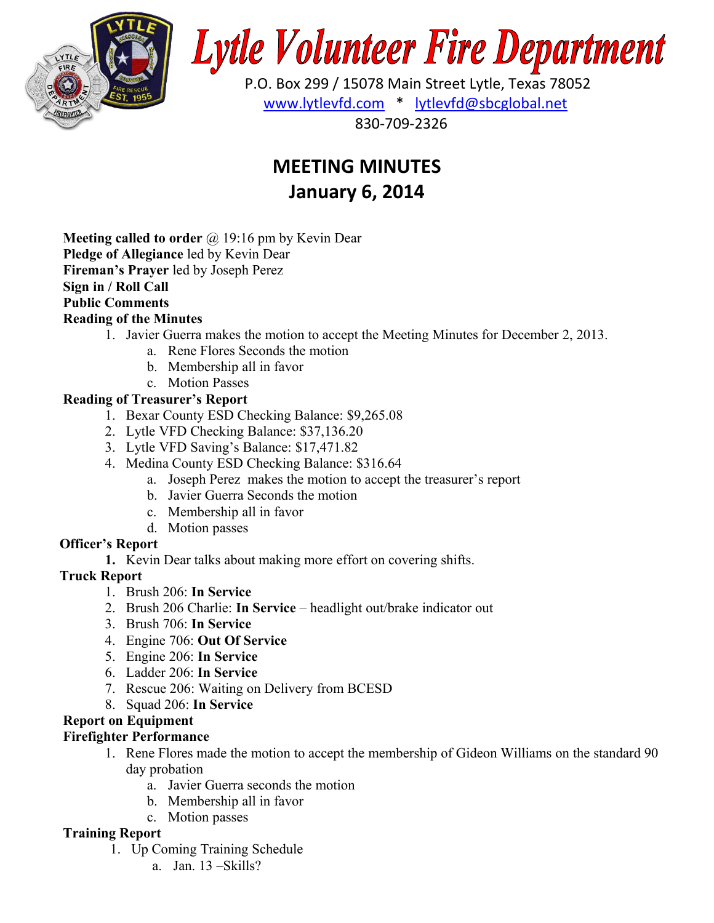

# **Lytle Volunteer Fire Department**

 P.O. Box 299 / 15078 Main Street Lytle, Texas 78052 [www.lytlevfd.com](http://www.lytlevfd.com/) \* [lytlevfd@sbcglobal.net](mailto:lytlevfd@sbcglobal.net) 830-709-2326

## **MEETING MINUTES January 6, 2014**

**Meeting called to order** @ 19:16 pm by Kevin Dear **Pledge of Allegiance** led by Kevin Dear **Fireman's Prayer** led by Joseph Perez **Sign in / Roll Call Public Comments Reading of the Minutes**

- 1. Javier Guerra makes the motion to accept the Meeting Minutes for December 2, 2013.
	- a. Rene Flores Seconds the motion
	- b. Membership all in favor
	- c. Motion Passes

#### **Reading of Treasurer's Report**

- 1. Bexar County ESD Checking Balance: \$9,265.08
- 2. Lytle VFD Checking Balance: \$37,136.20
- 3. Lytle VFD Saving's Balance: \$17,471.82
- 4. Medina County ESD Checking Balance: \$316.64
	- a. Joseph Perez makes the motion to accept the treasurer's report
	- b. Javier Guerra Seconds the motion
	- c. Membership all in favor
	- d. Motion passes

#### **Officer's Report**

**1.** Kevin Dear talks about making more effort on covering shifts.

#### **Truck Report**

- 1. Brush 206: **In Service**
- 2. Brush 206 Charlie: **In Service**  headlight out/brake indicator out
- 3. Brush 706: **In Service**
- 4. Engine 706: **Out Of Service**
- 5. Engine 206: **In Service**
- 6. Ladder 206: **In Service**
- 7. Rescue 206: Waiting on Delivery from BCESD
- 8. Squad 206: **In Service**

### **Report on Equipment**

#### **Firefighter Performance**

- 1. Rene Flores made the motion to accept the membership of Gideon Williams on the standard 90 day probation
	- a. Javier Guerra seconds the motion
	- b. Membership all in favor
	- c. Motion passes

#### **Training Report**

- 1. Up Coming Training Schedule
	- a. Jan. 13 –Skills?